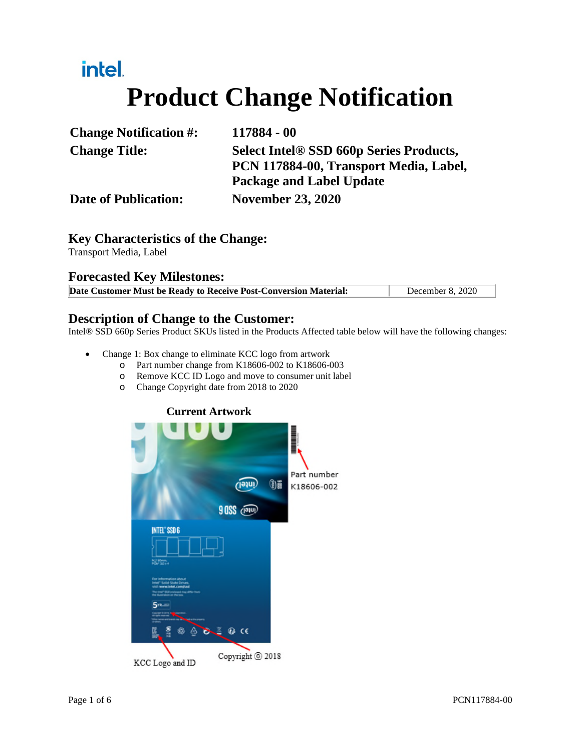# intel. **Product Change Notification**

| <b>Change Notification #:</b> | 117884 - 00                                                               |
|-------------------------------|---------------------------------------------------------------------------|
| <b>Change Title:</b>          | <b>Select Intel® SSD 660p Series Products,</b>                            |
|                               | PCN 117884-00, Transport Media, Label,<br><b>Package and Label Update</b> |
| <b>Date of Publication:</b>   | <b>November 23, 2020</b>                                                  |

## **Key Characteristics of the Change:**

Transport Media, Label

### **Forecasted Key Milestones:**

**Date Customer Must be Ready to Receive Post-Conversion Material:** December 8, 2020

### **Description of Change to the Customer:**

Intel® SSD 660p Series Product SKUs listed in the Products Affected table below will have the following changes:

- Change 1: Box change to eliminate KCC logo from artwork
	- o Part number change from K18606-002 to K18606-003
	- o Remove KCC ID Logo and move to consumer unit label
	- o Change Copyright date from 2018 to 2020

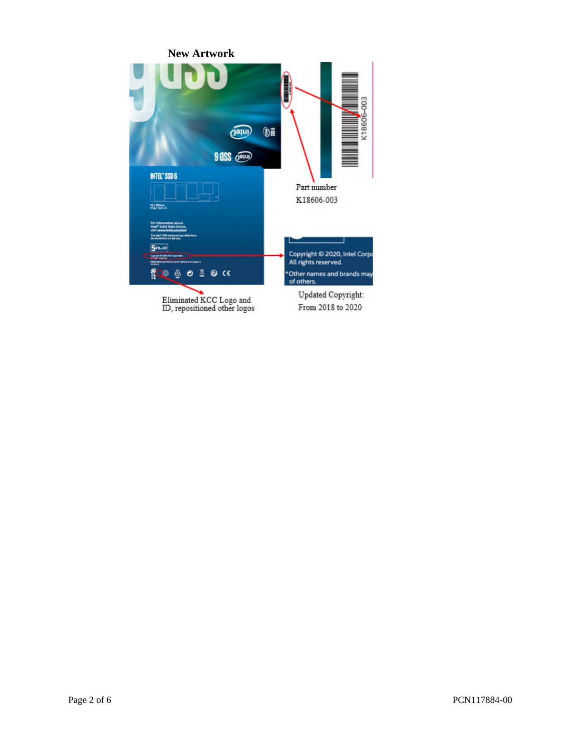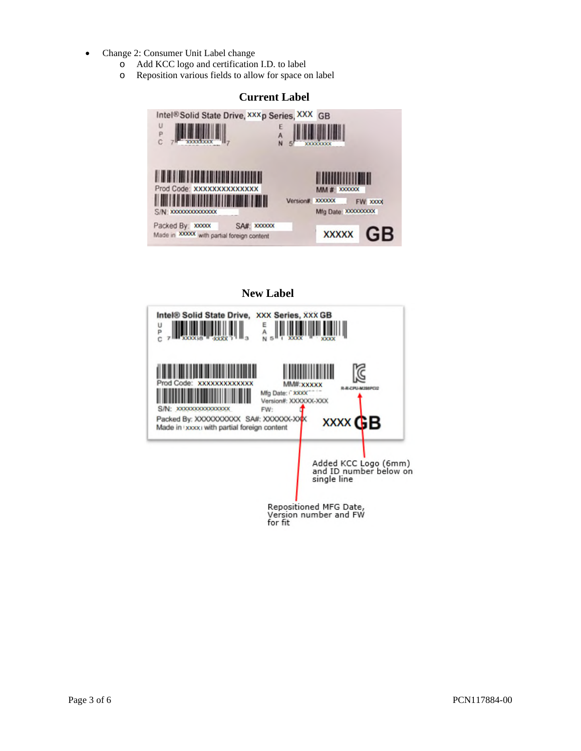- Change 2: Consumer Unit Label change
	- o Add KCC logo and certification I.D. to label
	- o Reposition various fields to allow for space on label

### **Current Label**  Intel®Solid State Drive, XXXp Series, XXX GB  $\cup$ E  $\frac{1}{5}$  $\mathbf{p}$ A<br>N  $\mathbf C$ **XXXXXXXX XXXXXXXX** Ш ,,,,,,,,,,,, <u> Hillingin Hill</u> Prod Code: XXXXXXXXXXXXX  $MM # X00000X$ Version# XXXXXX FW XXXX ۰ Mfg Date: XXXXXXXXX S/N: XXXXXXXXXXXXXX Packed By: xxxxx SA# XXXXX Made in XXXXX with partial foreign content **XXXXX** G



### Page 3 of 6 PCN117884-00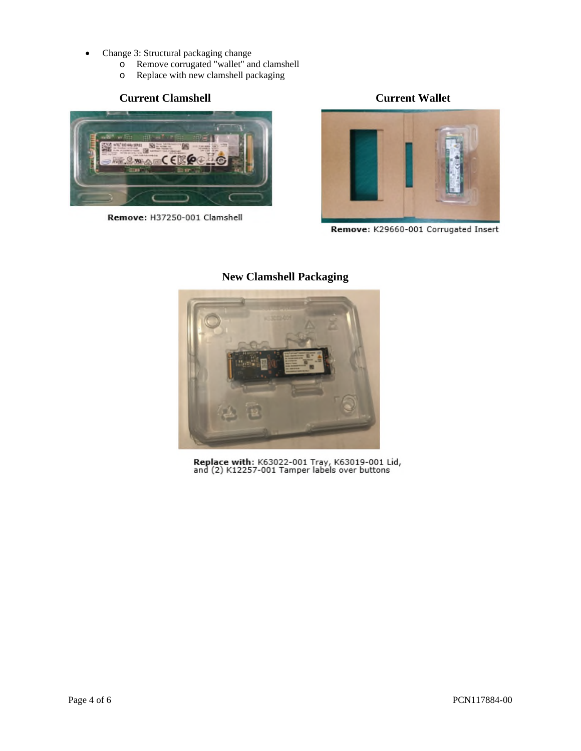- Change 3: Structural packaging change
	- o Remove corrugated "wallet" and clamshell
	- o Replace with new clamshell packaging

### **Current Clamshell Current Wallet**



Remove: H37250-001 Clamshell



Remove: K29660-001 Corrugated Insert



### **New Clamshell Packaging**

Replace with: K63022-001 Tray, K63019-001 Lid,<br>and (2) K12257-001 Tamper labels over buttons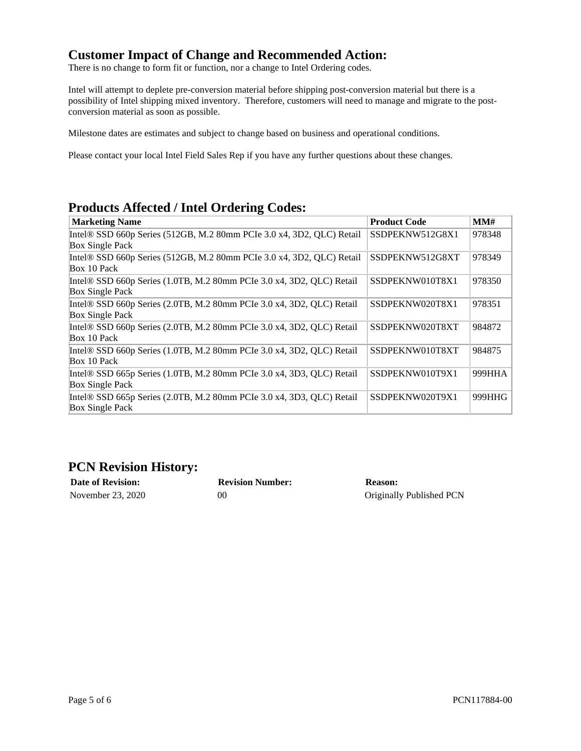### **Customer Impact of Change and Recommended Action:**

There is no change to form fit or function, nor a change to Intel Ordering codes.

Intel will attempt to deplete pre-conversion material before shipping post-conversion material but there is a possibility of Intel shipping mixed inventory. Therefore, customers will need to manage and migrate to the postconversion material as soon as possible.

Milestone dates are estimates and subject to change based on business and operational conditions.

Please contact your local Intel Field Sales Rep if you have any further questions about these changes.

## **Products Affected / Intel Ordering Codes:**

| <b>Marketing Name</b>                                                 | <b>Product Code</b> | MMH    |
|-----------------------------------------------------------------------|---------------------|--------|
| Intel® SSD 660p Series (512GB, M.2 80mm PCIe 3.0 x4, 3D2, QLC) Retail | SSDPEKNW512G8X1     | 978348 |
| <b>Box Single Pack</b>                                                |                     |        |
| Intel® SSD 660p Series (512GB, M.2 80mm PCIe 3.0 x4, 3D2, QLC) Retail | SSDPEKNW512G8XT     | 978349 |
| Box 10 Pack                                                           |                     |        |
| Intel® SSD 660p Series (1.0TB, M.2 80mm PCIe 3.0 x4, 3D2, QLC) Retail | SSDPEKNW010T8X1     | 978350 |
| <b>Box Single Pack</b>                                                |                     |        |
| Intel® SSD 660p Series (2.0TB, M.2 80mm PCIe 3.0 x4, 3D2, QLC) Retail | SSDPEKNW020T8X1     | 978351 |
| <b>Box Single Pack</b>                                                |                     |        |
| Intel® SSD 660p Series (2.0TB, M.2 80mm PCIe 3.0 x4, 3D2, QLC) Retail | SSDPEKNW020T8XT     | 984872 |
| Box 10 Pack                                                           |                     |        |
| Intel® SSD 660p Series (1.0TB, M.2 80mm PCIe 3.0 x4, 3D2, QLC) Retail | SSDPEKNW010T8XT     | 984875 |
| Box 10 Pack                                                           |                     |        |
| Intel® SSD 665p Series (1.0TB, M.2 80mm PCIe 3.0 x4, 3D3, QLC) Retail | SSDPEKNW010T9X1     | 999HHA |
| <b>Box Single Pack</b>                                                |                     |        |
| Intel® SSD 665p Series (2.0TB, M.2 80mm PCIe 3.0 x4, 3D3, QLC) Retail | SSDPEKNW020T9X1     | 999HHG |
| <b>Box Single Pack</b>                                                |                     |        |

### **PCN Revision History:**

| <b>Date of Revision:</b> | <b>Revision Number:</b> | <b>Reason:</b>           |
|--------------------------|-------------------------|--------------------------|
| November 23, 2020        | 00                      | Originally Published PCN |